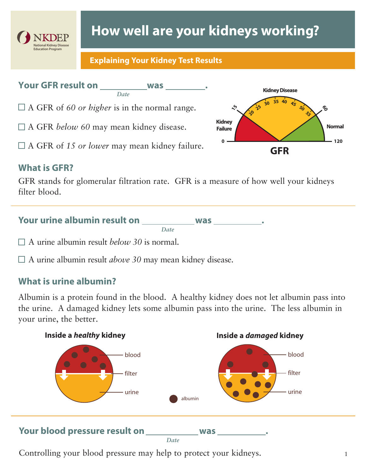

# **How well are your kidneys working?**

#### **Explaining Your Kidney Test Results**

# Your GFR result on \_\_\_\_\_\_\_\_\_\_\_\_ was

*Date*

 $\Box$  A GFR of 60 or higher is in the normal range.

□ A GFR *below 60* may mean kidney disease.

A GFR of *15 or lower* may mean kidney failure.

# **What is GFR?**

GFR stands for glomerular filtration rate. GFR is a measure of how well your kidneys filter blood.

#### Your urine albumin result on \_\_\_\_\_\_\_\_\_\_\_\_ was \_\_\_\_\_\_\_\_\_\_ *Date*

A urine albumin result *below 30* is normal.

A urine albumin result *above 30* may mean kidney disease.

# **What is urine albumin?**

Albumin is a protein found in the blood. A healthy kidney does not let albumin pass into the urine. A damaged kidney lets some albumin pass into the urine. The less albumin in your urine, the better.



Controlling your blood pressure may help to protect your kidneys.